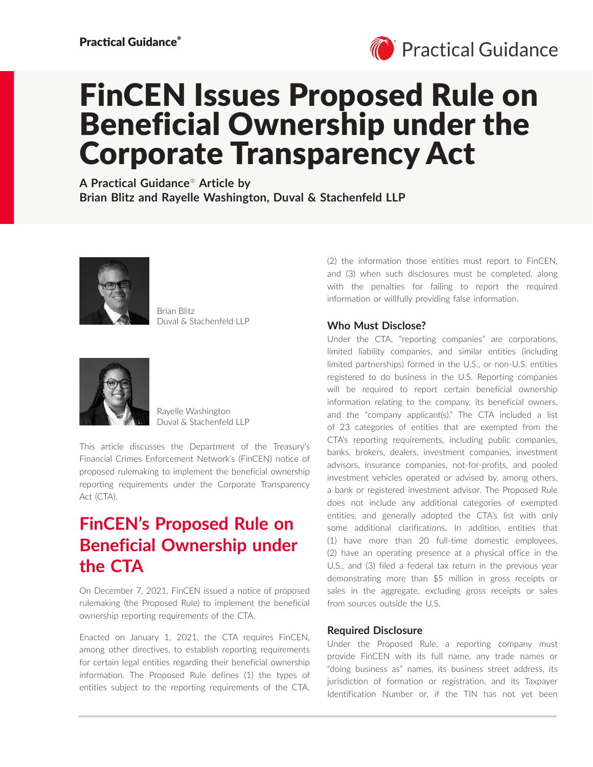

# FinCEN Issues Proposed Rule on Beneficial Ownership under the Corporate Transparency Act

**A Practical Guidance**® **Article by Brian Blitz and Rayelle Washington, Duval & Stachenfeld LLP**



Brian Blitz Duval & Stachenfeld LLP



Rayelle Washington Duval & Stachenfeld LLP

This article discusses the Department of the Treasury's Financial Crimes Enforcement Network's (FinCEN) notice of proposed rulemaking to implement the beneficial ownership reporting requirements under the Corporate Transparency Act (CTA).

## **FinCEN's Proposed Rule on Beneficial Ownership under the CTA**

On December 7, 2021, FinCEN issued a notice of proposed rulemaking (the Proposed Rule) to implement the beneficial ownership reporting requirements of the CTA.

Enacted on January 1, 2021, the CTA requires FinCEN, among other directives, to establish reporting requirements for certain legal entities regarding their beneficial ownership information. The Proposed Rule defines (1) the types of entities subject to the reporting requirements of the CTA, (2) the information those entities must report to FinCEN, and (3) when such disclosures must be completed, along with the penalties for failing to report the required information or willfully providing false information.

### **Who Must Disclose?**

Under the CTA, "reporting companies" are corporations, limited liability companies, and similar entities (including limited partnerships) formed in the U.S., or non-U.S. entities registered to do business in the U.S. Reporting companies will be required to report certain beneficial ownership information relating to the company, its beneficial owners, and the "company applicant(s)." The CTA included a list of 23 categories of entities that are exempted from the CTA's reporting requirements, including public companies, banks, brokers, dealers, investment companies, investment advisors, insurance companies, not-for-profits, and pooled investment vehicles operated or advised by, among others, a bank or registered investment advisor. The Proposed Rule does not include any additional categories of exempted entities, and generally adopted the CTA's list with only some additional clarifications. In addition, entities that (1) have more than 20 full-time domestic employees, (2) have an operating presence at a physical office in the U.S., and (3) filed a federal tax return in the previous year demonstrating more than \$5 million in gross receipts or sales in the aggregate, excluding gross receipts or sales from sources outside the U.S.

#### **Required Disclosure**

Under the Proposed Rule, a reporting company must provide FinCEN with its full name, any trade names or "doing business as" names, its business street address, its jurisdiction of formation or registration, and its Taxpayer Identification Number or, if the TIN has not yet been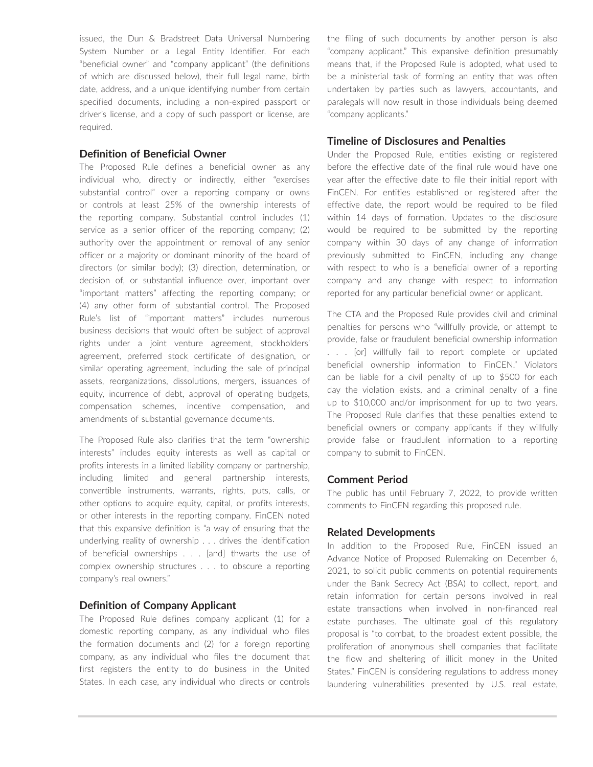issued, the Dun & Bradstreet Data Universal Numbering System Number or a Legal Entity Identifier. For each "beneficial owner" and "company applicant" (the definitions of which are discussed below), their full legal name, birth date, address, and a unique identifying number from certain specified documents, including a non-expired passport or driver's license, and a copy of such passport or license, are required.

#### **Definition of Beneficial Owner**

The Proposed Rule defines a beneficial owner as any individual who, directly or indirectly, either "exercises substantial control" over a reporting company or owns or controls at least 25% of the ownership interests of the reporting company. Substantial control includes (1) service as a senior officer of the reporting company; (2) authority over the appointment or removal of any senior officer or a majority or dominant minority of the board of directors (or similar body); (3) direction, determination, or decision of, or substantial influence over, important over "important matters" affecting the reporting company; or (4) any other form of substantial control. The Proposed Rule's list of "important matters" includes numerous business decisions that would often be subject of approval rights under a joint venture agreement, stockholders' agreement, preferred stock certificate of designation, or similar operating agreement, including the sale of principal assets, reorganizations, dissolutions, mergers, issuances of equity, incurrence of debt, approval of operating budgets, compensation schemes, incentive compensation, and amendments of substantial governance documents.

The Proposed Rule also clarifies that the term "ownership interests" includes equity interests as well as capital or profits interests in a limited liability company or partnership, including limited and general partnership interests, convertible instruments, warrants, rights, puts, calls, or other options to acquire equity, capital, or profits interests, or other interests in the reporting company. FinCEN noted that this expansive definition is "a way of ensuring that the underlying reality of ownership . . . drives the identification of beneficial ownerships . . . [and] thwarts the use of complex ownership structures . . . to obscure a reporting company's real owners."

#### **Definition of Company Applicant**

The Proposed Rule defines company applicant (1) for a domestic reporting company, as any individual who files the formation documents and (2) for a foreign reporting company, as any individual who files the document that first registers the entity to do business in the United States. In each case, any individual who directs or controls the filing of such documents by another person is also "company applicant." This expansive definition presumably means that, if the Proposed Rule is adopted, what used to be a ministerial task of forming an entity that was often undertaken by parties such as lawyers, accountants, and paralegals will now result in those individuals being deemed "company applicants."

#### **Timeline of Disclosures and Penalties**

Under the Proposed Rule, entities existing or registered before the effective date of the final rule would have one year after the effective date to file their initial report with FinCEN. For entities established or registered after the effective date, the report would be required to be filed within 14 days of formation. Updates to the disclosure would be required to be submitted by the reporting company within 30 days of any change of information previously submitted to FinCEN, including any change with respect to who is a beneficial owner of a reporting company and any change with respect to information reported for any particular beneficial owner or applicant.

The CTA and the Proposed Rule provides civil and criminal penalties for persons who "willfully provide, or attempt to provide, false or fraudulent beneficial ownership information . . . [or] willfully fail to report complete or updated beneficial ownership information to FinCEN." Violators can be liable for a civil penalty of up to \$500 for each day the violation exists, and a criminal penalty of a fine up to \$10,000 and/or imprisonment for up to two years. The Proposed Rule clarifies that these penalties extend to beneficial owners or company applicants if they willfully provide false or fraudulent information to a reporting company to submit to FinCEN.

#### **Comment Period**

The public has until February 7, 2022, to provide written comments to FinCEN regarding this proposed rule.

#### **Related Developments**

In addition to the Proposed Rule, FinCEN issued an Advance Notice of Proposed Rulemaking on December 6, 2021, to solicit public comments on potential requirements under the Bank Secrecy Act (BSA) to collect, report, and retain information for certain persons involved in real estate transactions when involved in non-financed real estate purchases. The ultimate goal of this regulatory proposal is "to combat, to the broadest extent possible, the proliferation of anonymous shell companies that facilitate the flow and sheltering of illicit money in the United States." FinCEN is considering regulations to address money laundering vulnerabilities presented by U.S. real estate,